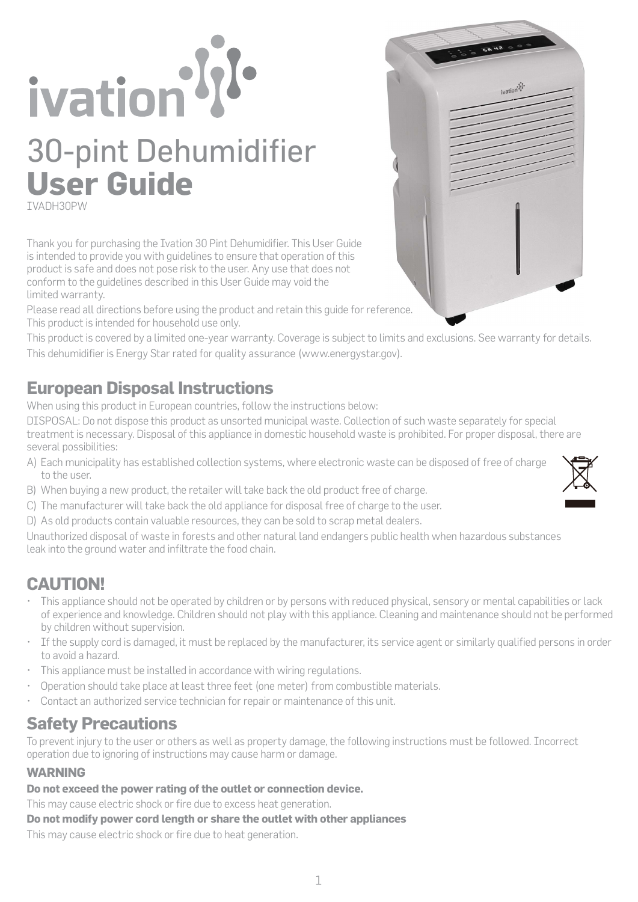# ivation <sup>1/1</sup> 30-pint Dehumidifier **User Guide** IVADH30PW

Thank you for purchasing the Ivation 30 Pint Dehumidifier. This User Guide is intended to provide you with guidelines to ensure that operation of this product is safe and does not pose risk to the user. Any use that does not conform to the guidelines described in this User Guide may void the limited warranty.

Please read all directions before using the product and retain this guide for reference. This product is intended for household use only.

This product is covered by a limited one-year warranty. Coverage is subject to limits and exclusions. See warranty for details. This dehumidifier is Energy Star rated for quality assurance (www.energystar.gov).

# **European Disposal Instructions**

When using this product in European countries, follow the instructions below:

DISPOSAL: Do not dispose this product as unsorted municipal waste. Collection of such waste separately for special treatment is necessary. Disposal of this appliance in domestic household waste is prohibited. For proper disposal, there are several possibilities:

- A) Each municipality has established collection systems, where electronic waste can be disposed of free of charge to the user.
- B) When buying a new product, the retailer will take back the old product free of charge.
- C) The manufacturer will take back the old appliance for disposal free of charge to the user.
- D) As old products contain valuable resources, they can be sold to scrap metal dealers.

Unauthorized disposal of waste in forests and other natural land endangers public health when hazardous substances leak into the ground water and infiltrate the food chain.

# **CAUTION!**

- This appliance should not be operated by children or by persons with reduced physical, sensory or mental capabilities or lack of experience and knowledge. Children should not play with this appliance. Cleaning and maintenance should not be performed by children without supervision.
- If the supply cord is damaged, it must be replaced by the manufacturer, its service agent or similarly qualified persons in order to avoid a hazard.
- This appliance must be installed in accordance with wiring regulations.
- Operation should take place at least three feet (one meter) from combustible materials.
- Contact an authorized service technician for repair or maintenance of this unit.

# **Safety Precautions**

To prevent injury to the user or others as well as property damage, the following instructions must be followed. Incorrect operation due to ignoring of instructions may cause harm or damage.

# **WARNING**

**Do not exceed the power rating of the outlet or connection device.**

This may cause electric shock or fire due to excess heat generation.

**Do not modify power cord length or share the outlet with other appliances**

This may cause electric shock or fire due to heat generation.



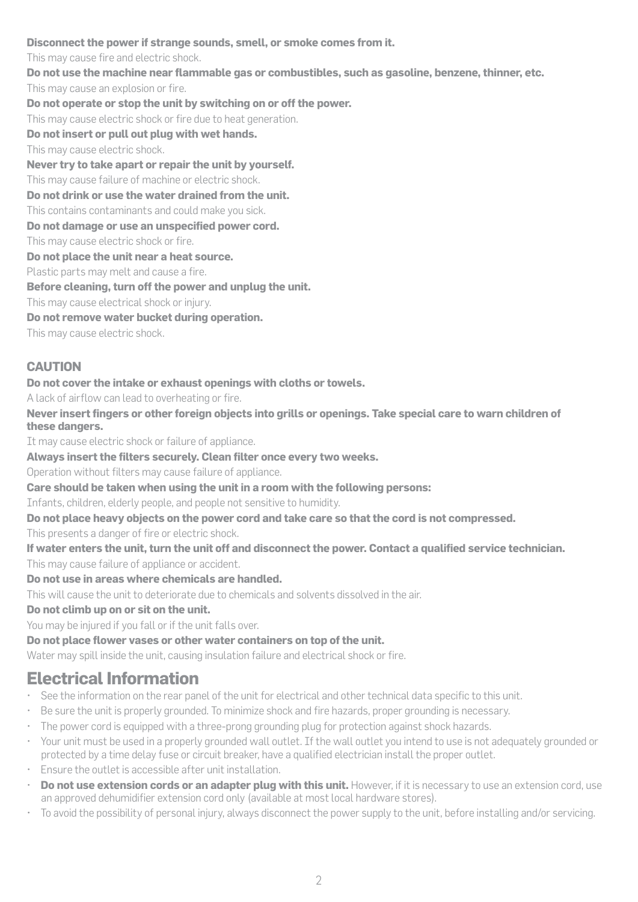#### **Disconnect the power if strange sounds, smell, or smoke comes from it.**

This may cause fire and electric shock.

**Do not use the machine near flammable gas or combustibles, such as gasoline, benzene, thinner, etc.** This may cause an explosion or fire.

**Do not operate or stop the unit by switching on or off the power.**

This may cause electric shock or fire due to heat generation.

**Do not insert or pull out plug with wet hands.**

This may cause electric shock.

**Never try to take apart or repair the unit by yourself.**

This may cause failure of machine or electric shock.

**Do not drink or use the water drained from the unit.**

This contains contaminants and could make you sick.

**Do not damage or use an unspecified power cord.**

This may cause electric shock or fire.

**Do not place the unit near a heat source.**

Plastic parts may melt and cause a fire.

**Before cleaning, turn off the power and unplug the unit.**

This may cause electrical shock or injury.

**Do not remove water bucket during operation.**

This may cause electric shock.

## **CAUTION**

#### **Do not cover the intake or exhaust openings with cloths or towels.**

A lack of airflow can lead to overheating or fire.

**Never insert fingers or other foreign objects into grills or openings. Take special care to warn children of these dangers.**

It may cause electric shock or failure of appliance.

**Always insert the filters securely. Clean filter once every two weeks.**

Operation without filters may cause failure of appliance.

**Care should be taken when using the unit in a room with the following persons:** 

Infants, children, elderly people, and people not sensitive to humidity.

**Do not place heavy objects on the power cord and take care so that the cord is not compressed.**

This presents a danger of fire or electric shock.

**If water enters the unit, turn the unit off and disconnect the power. Contact a qualified service technician.** This may cause failure of appliance or accident.

#### **Do not use in areas where chemicals are handled.**

This will cause the unit to deteriorate due to chemicals and solvents dissolved in the air.

#### **Do not climb up on or sit on the unit.**

You may be injured if you fall or if the unit falls over.

### **Do not place flower vases or other water containers on top of the unit.**

Water may spill inside the unit, causing insulation failure and electrical shock or fire.

# **Electrical Information**

- See the information on the rear panel of the unit for electrical and other technical data specific to this unit.
- Be sure the unit is properly grounded. To minimize shock and fire hazards, proper grounding is necessary.
- The power cord is equipped with a three-prong grounding plug for protection against shock hazards.
- Your unit must be used in a properly grounded wall outlet. If the wall outlet you intend to use is not adequately grounded or protected by a time delay fuse or circuit breaker, have a qualified electrician install the proper outlet.
- Ensure the outlet is accessible after unit installation.
- **Do not use extension cords or an adapter plug with this unit.** However, if it is necessary to use an extension cord, use an approved dehumidifier extension cord only (available at most local hardware stores).
- To avoid the possibility of personal injury, always disconnect the power supply to the unit, before installing and/or servicing.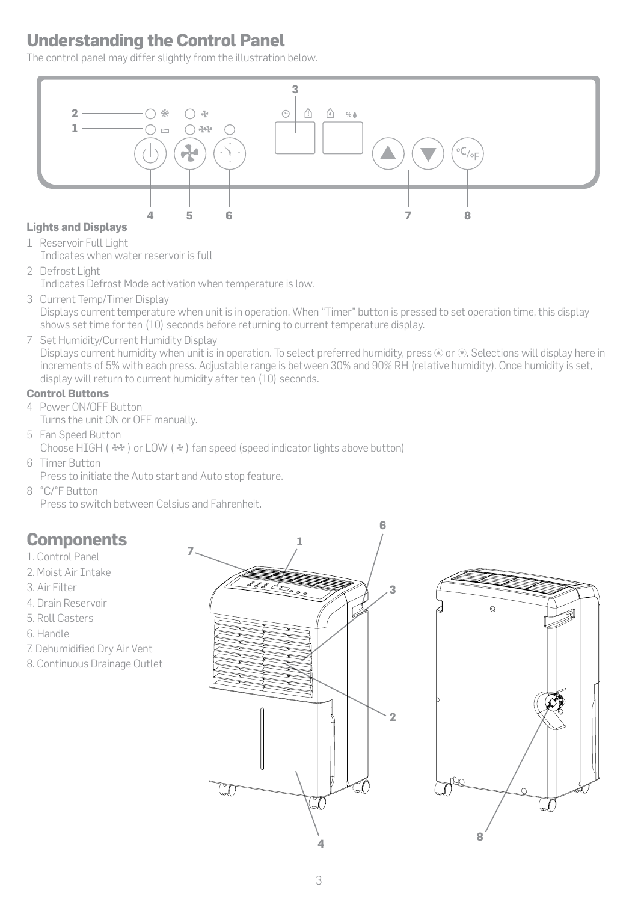# **Understanding the Control Panel**

The control panel may differ slightly from the illustration below.



# **Lights and Displays**

1 Reservoir Full Light

- Indicates when water reservoir is full
- 2 Defrost Light Indicates Defrost Mode activation when temperature is low.
- 3 Current Temp/Timer Display Displays current temperature when unit is in operation. When "Timer" button is pressed to set operation time, this display shows set time for ten (10) seconds before returning to current temperature display.
- 7 Set Humidity/Current Humidity Display

Displays current humidity when unit is in operation. To select preferred humidity, press  $\odot$  or  $\odot$ . Selections will display here in increments of 5% with each press. Adjustable range is between 30% and 90% RH (relative humidity). Once humidity is set, display will return to current humidity after ten (10) seconds.

### **Control Buttons**

4 Power ON/OFF Button Turns the unit ON or OFF manually.

- 5 Fan Speed Button Choose HIGH ( $\cdot$   $\cdot$   $\cdot$  ) or LOW ( $\cdot$  $\cdot$ ) fan speed (speed indicator lights above button)
- 6 Timer Button Press to initiate the Auto start and Auto stop feature.
- 8 °C/°F Button Press to switch between Celsius and Fahrenheit.

# **Components**

- 1. Control Panel
- 2. Moist Air Intake
- 3. Air Filter
- 4. Drain Reservoir
- 5. Roll Casters
- 6. Handle
- 7. Dehumidified Dry Air Vent
- 8. Continuous Drainage Outlet



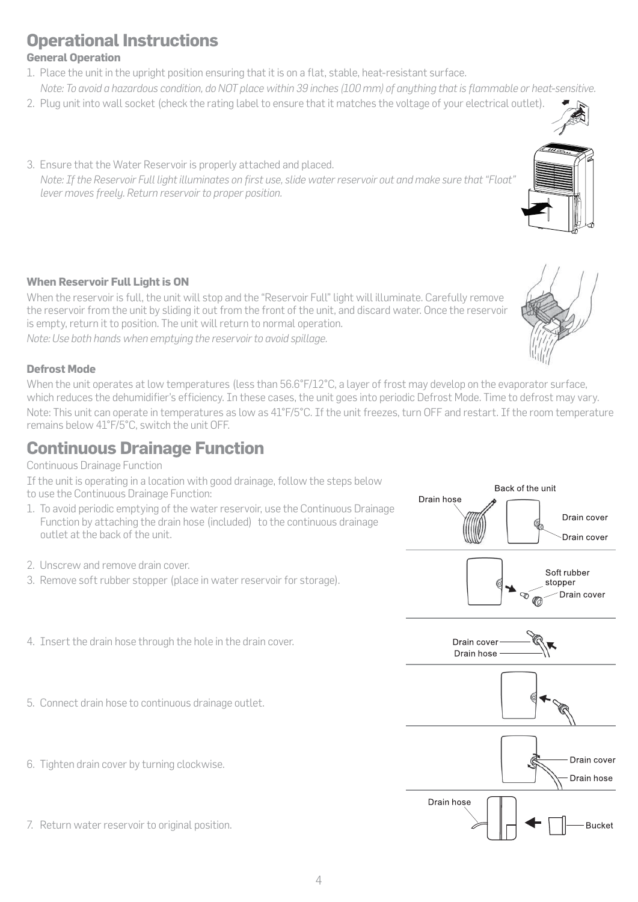5. Connect drain hose to continuous drainage outlet.

4. Insert the drain hose through the hole in the drain cover.

- 6. Tighten drain cover by turning clockwise.
- 7. Return water reservoir to original position.

### 4

# **Operational Instructions**

### **General Operation**

- 1. Place the unit in the upright position ensuring that it is on a flat, stable, heat-resistant surface.  *Note: To avoid a hazardous condition, do NOT place within 39 inches (100 mm) of anything that is flammable or heat-sensitive.*
- 2. Plug unit into wall socket (check the rating label to ensure that it matches the voltage of your electrical outlet).
- 3. Ensure that the Water Reservoir is properly attached and placed.  *Note: If the Reservoir Full light illuminates on first use, slide water reservoir out and make sure that "Float" lever moves freely. Return reservoir to proper position.*

### **When Reservoir Full Light is ON**

When the reservoir is full, the unit will stop and the "Reservoir Full" light will illuminate. Carefully remove the reservoir from the unit by sliding it out from the front of the unit, and discard water. Once the reservoir is empty, return it to position. The unit will return to normal operation.

*Note: Use both hands when emptying the reservoir to avoid spillage.*

### **Defrost Mode**

When the unit operates at low temperatures (less than 56.6°F/12°C, a layer of frost may develop on the evaporator surface, which reduces the dehumidifier's efficiency. In these cases, the unit goes into periodic Defrost Mode. Time to defrost may vary.

Note: This unit can operate in temperatures as low as 41°F/5°C. If the unit freezes, turn OFF and restart. If the room temperature remains below 41°F/5°C, switch the unit OFF.

# **Continuous Drainage Function**

Continuous Drainage Function

If the unit is operating in a location with good drainage, follow the steps below to use the Continuous Drainage Function:

- 1. To avoid periodic emptying of the water reservoir, use the Continuous Drainage Function by attaching the drain hose (included) to the continuous drainage outlet at the back of the unit.
- 2. Unscrew and remove drain cover.
- 3. Remove soft rubber stopper (place in water reservoir for storage).



Back of the unit

Drain cover

Drain hose



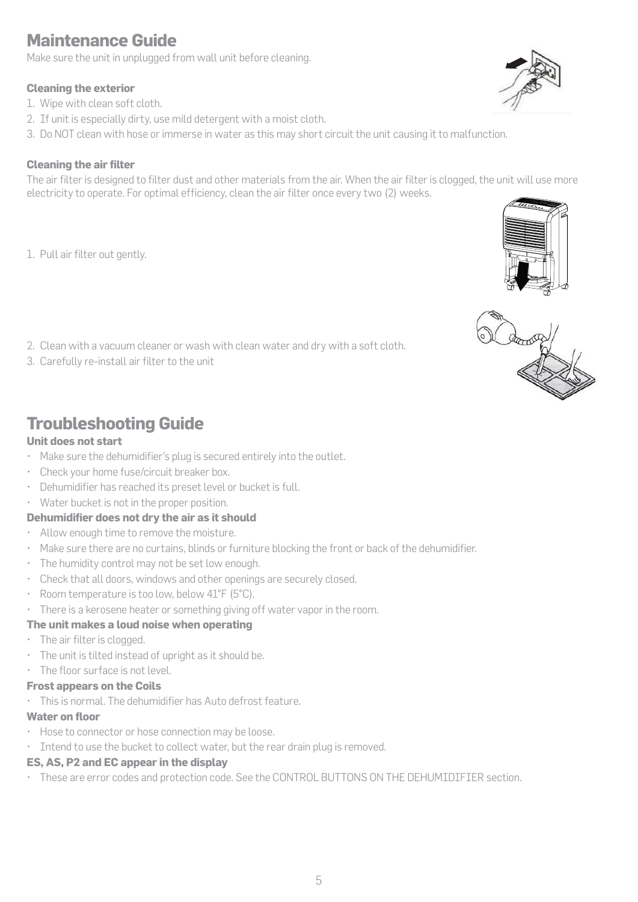Make sure the unit in unplugged from wall unit before cleaning.

# **Cleaning the exterior**

- 1. Wipe with clean soft cloth.
- 2. If unit is especially dirty, use mild detergent with a moist cloth.
- 3. Do NOT clean with hose or immerse in water as this may short circuit the unit causing it to malfunction.

# **Cleaning the air filter**

The air filter is designed to filter dust and other materials from the air. When the air filter is clogged, the unit will use more electricity to operate. For optimal efficiency, clean the air filter once every two (2) weeks.

- 1. Pull air filter out gently.
- 2. Clean with a vacuum cleaner or wash with clean water and dry with a soft cloth.
- 3. Carefully re-install air filter to the unit

# **Troubleshooting Guide**

# **Unit does not start**

- Make sure the dehumidifier's plug is secured entirely into the outlet.
- Check your home fuse/circuit breaker box.
- Dehumidifier has reached its preset level or bucket is full.
- Water bucket is not in the proper position.

# **Dehumidifier does not dry the air as it should**

- Allow enough time to remove the moisture.
- Make sure there are no curtains, blinds or furniture blocking the front or back of the dehumidifier.
- The humidity control may not be set low enough.
- Check that all doors, windows and other openings are securely closed.
- Room temperature is too low, below 41°F (5°C).
- There is a kerosene heater or something giving off water vapor in the room.

# **The unit makes a loud noise when operating**

- The air filter is clogged.
- The unit is tilted instead of upright as it should be.
- The floor surface is not level.

# **Frost appears on the Coils**

• This is normal. The dehumidifier has Auto defrost feature.

# **Water on floor**

- Hose to connector or hose connection may be loose.
- Intend to use the bucket to collect water, but the rear drain plug is removed.

# **ES, AS, P2 and EC appear in the display**

• These are error codes and protection code. See the CONTROL BUTTONS ON THE DEHUMIDIFIER section.